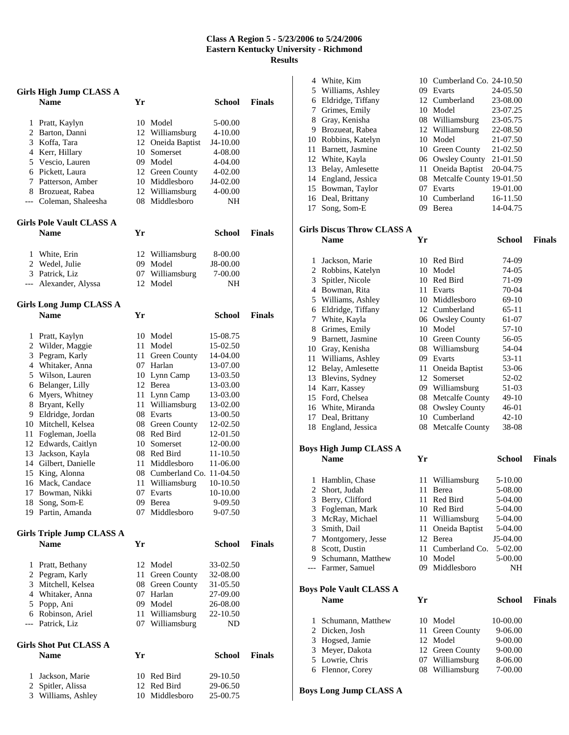## **Class A Region 5 - 5/23/2006 to 5/24/2006 Eastern Kentucky University - Richmond Results**

|     | <b>Girls High Jump CLASS A</b>                  |      |                                    |                    |               |
|-----|-------------------------------------------------|------|------------------------------------|--------------------|---------------|
|     | <b>Name</b>                                     | Yr   |                                    | School             | <b>Finals</b> |
| 1   | Pratt, Kaylyn                                   |      | 10 Model                           | 5-00.00            |               |
| 2   | Barton, Danni                                   |      | 12 Williamsburg                    | 4-10.00            |               |
|     | 3 Koffa, Tara                                   |      | 12 Oneida Baptist                  | J4-10.00           |               |
|     | 4 Kerr, Hillary                                 |      | 10 Somerset                        | 4-08.00            |               |
|     | 5 Vescio, Lauren                                |      | 09 Model                           | 4-04.00            |               |
|     | 6 Pickett, Laura                                |      | 12 Green County                    | 4-02.00            |               |
| 7   | Patterson, Amber                                |      | 10 Middlesboro                     | J4-02.00           |               |
|     | 8 Brozueat, Rabea                               |      | 12 Williamsburg                    | 4-00.00            |               |
|     | --- Coleman, Shaleesha                          |      | 08 Middlesboro                     | NΗ                 |               |
|     | <b>Girls Pole Vault CLASS A</b>                 |      |                                    |                    |               |
|     | <b>Name</b>                                     | Yr   |                                    | School             | <b>Finals</b> |
| 1   | White, Erin                                     |      | 12 Williamsburg                    | 8-00.00            |               |
|     | 2 Wedel, Julie                                  |      | 09 Model                           | J8-00.00           |               |
|     | 3 Patrick, Liz                                  |      | 07 Williamsburg                    | 7-00.00            |               |
| --- | Alexander, Alyssa                               | 12   | Model                              | NΗ                 |               |
|     | <b>Girls Long Jump CLASS A</b>                  |      |                                    |                    |               |
|     | <b>Name</b>                                     | Yr   |                                    | <b>School</b>      | <b>Finals</b> |
| 1   | Pratt, Kaylyn                                   |      | 10 Model                           | 15-08.75           |               |
| 2   | Wilder, Maggie                                  |      | 11 Model                           | 15-02.50           |               |
| 3   | Pegram, Karly                                   |      | 11 Green County                    | 14-04.00           |               |
|     | 4 Whitaker, Anna                                |      | 07 Harlan                          | 13-07.00           |               |
|     | 5 Wilson, Lauren                                |      | 10 Lynn Camp                       | 13-03.50           |               |
|     | 6 Belanger, Lilly                               |      | 12 Berea                           | 13-03.00           |               |
| 6   | Myers, Whitney                                  | 11 - | Lynn Camp                          | 13-03.00           |               |
| 8   | Bryant, Kelly                                   | 11   | Williamsburg                       | 13-02.00           |               |
|     | 9 Eldridge, Jordan                              |      | 08 Evarts                          | 13-00.50           |               |
|     | 10 Mitchell, Kelsea                             |      | 08 Green County                    | 12-02.50           |               |
| 11  | Fogleman, Joella                                |      | 08 Red Bird                        | 12-01.50           |               |
|     | 12 Edwards, Caitlyn                             |      | 10 Somerset                        | 12-00.00           |               |
| 13  | Jackson, Kayla                                  |      | 08 Red Bird                        | 11-10.50           |               |
|     | 14 Gilbert, Danielle                            |      | 11 Middlesboro                     | 11-06.00           |               |
|     | 15 King, Alonna                                 |      | 08 Cumberland Co. 11-04.50         |                    |               |
| 16  | Mack, Candace                                   | 11   | Williamsburg                       | 10-10.50           |               |
| 17  | Bowman, Nikki                                   | 07   | Evarts<br>09 Berea                 | 10-10.00           |               |
|     | 18 Song, Som-E<br>19 Partin, Amanda             |      | 07 Middlesboro                     | 9-09.50<br>9-07.50 |               |
|     |                                                 |      |                                    |                    |               |
|     | <b>Girls Triple Jump CLASS A</b><br><b>Name</b> | Yr   |                                    | <b>School</b>      | <b>Finals</b> |
|     |                                                 |      |                                    |                    |               |
| 1   | Pratt, Bethany                                  |      | 12 Model                           | 33-02.50           |               |
| 2   | Pegram, Karly                                   |      | 11 Green County                    | 32-08.00           |               |
|     | 3 Mitchell, Kelsea                              |      | 08 Green County                    | 31-05.50           |               |
|     | 4 Whitaker, Anna                                |      | 07 Harlan                          | 27-09.00           |               |
|     | 5 Popp, Ani                                     |      | 09 Model                           | 26-08.00           |               |
|     | 6 Robinson, Ariel<br>--- Patrick, Liz           |      | 11 Williamsburg<br>07 Williamsburg | 22-10.50<br>ND     |               |
|     |                                                 |      |                                    |                    |               |
|     | <b>Girls Shot Put CLASS A</b><br><b>Name</b>    | Yr   |                                    | <b>School</b>      | <b>Finals</b> |
| 1   | Jackson, Marie                                  |      | 10 Red Bird                        | 29-10.50           |               |
| 2   | Spitler, Alissa                                 |      | 12 Red Bird                        | 29-06.50           |               |
|     | 3 Williams, Ashley                              |      | 10 Middlesboro                     | 25-00.75           |               |

| 4              | White, Kim                     |     | 10 Cumberland Co. 24-10.50  |               |               |
|----------------|--------------------------------|-----|-----------------------------|---------------|---------------|
|                | 5 Williams, Ashley             |     | 09 Evarts                   | 24-05.50      |               |
|                | 6 Eldridge, Tiffany            |     | 12 Cumberland               | 23-08.00      |               |
|                | 7 Grimes, Emily                |     | 10 Model                    | 23-07.25      |               |
|                | 8 Gray, Kenisha                |     | 08 Williamsburg             | 23-05.75      |               |
|                | 9 Brozueat, Rabea              |     | 12 Williamsburg             | 22-08.50      |               |
|                | 10 Robbins, Katelyn            |     | 10 Model                    | 21-07.50      |               |
|                | 11 Barnett, Jasmine            |     | 10 Green County             | 21-02.50      |               |
|                | 12 White, Kayla                |     | 06 Owsley County            | 21-01.50      |               |
|                | 13 Belay, Amlesette            |     | 11 Oneida Baptist           | 20-04.75      |               |
|                | 14 England, Jessica            |     | 08 Metcalfe County 19-01.50 |               |               |
|                | 15 Bowman, Taylor              |     | 07 Evarts                   | 19-01.00      |               |
|                | 16 Deal, Brittany              |     | 10 Cumberland               | 16-11.50      |               |
| 17             | Song, Som-E                    |     | 09 Berea                    | 14-04.75      |               |
|                |                                |     |                             |               |               |
|                | Girls Discus Throw CLASS A     |     |                             |               |               |
|                | <b>Name</b>                    | Yr  |                             | <b>School</b> | <b>Finals</b> |
|                |                                |     |                             |               |               |
|                |                                |     |                             |               |               |
| 1              | Jackson, Marie                 |     | 10 Red Bird                 | 74-09         |               |
|                | 2 Robbins, Katelyn             |     | 10 Model                    | 74-05         |               |
| 3              | Spitler, Nicole                |     | 10 Red Bird                 | 71-09         |               |
|                | 4 Bowman, Rita                 |     | 11 Evarts                   | 70-04         |               |
|                | 5 Williams, Ashley             |     | 10 Middlesboro              | 69-10         |               |
|                | 6 Eldridge, Tiffany            |     | 12 Cumberland               | 65-11         |               |
| 7              | White, Kayla                   |     | 06 Owsley County            | 61-07         |               |
| 8              | Grimes, Emily                  |     | 10 Model                    | 57-10         |               |
|                | 9 Barnett, Jasmine             |     | 10 Green County             | 56-05         |               |
|                | 10 Gray, Kenisha               |     | 08 Williamsburg             | 54-04         |               |
|                | 11 Williams, Ashley            |     | 09 Evarts                   | 53-11         |               |
|                | 12 Belay, Amlesette            |     | 11 Oneida Baptist           | 53-06         |               |
|                | 13 Blevins, Sydney             |     | 12 Somerset                 | 52-02         |               |
|                | 14 Karr, Kassey                |     | 09 Williamsburg             | 51-03         |               |
|                | 15 Ford, Chelsea               |     | 08 Metcalfe County          | 49-10         |               |
|                | 16 White, Miranda              |     | 08 Owsley County            | 46-01         |               |
| 17             | Deal, Brittany                 |     | 10 Cumberland               | 42-10         |               |
|                | 18 England, Jessica            |     | 08 Metcalfe County          | 38-08         |               |
|                |                                |     |                             |               |               |
|                | Boys High Jump CLASS A         |     |                             |               |               |
|                | <b>Name</b>                    | Yr  |                             | <b>School</b> | <b>Finals</b> |
|                |                                |     |                             |               |               |
| 1              | Hamblin, Chase                 | 11  | Williamsburg                | 5-10.00       |               |
| $\overline{c}$ | Short, Judah                   | 11  | Berea                       | 5-08.00       |               |
| 3              | Berry, Clifford                | 11  | Red Bird                    | 5-04.00       |               |
| 3              | Fogleman, Mark                 |     | 10 Red Bird                 | 5-04.00       |               |
| 3              | McRay, Michael                 | 11  | Williamsburg                | 5-04.00       |               |
| 3              | Smith, Dail                    | 11  | Oneida Baptist              | 5-04.00       |               |
| 7              | Montgomery, Jesse              |     | 12 Berea                    | J5-04.00      |               |
| 8              |                                |     |                             |               |               |
|                | Scott, Dustin                  | 11  | Cumberland Co.              | 5-02.00       |               |
|                | 9 Schumann, Matthew            |     | 10 Model                    | 5-00.00       |               |
| ---            |                                | 09- | Middlesboro                 | NΗ            |               |
|                | Farmer, Samuel                 |     |                             |               |               |
|                |                                |     |                             |               |               |
|                | <b>Boys Pole Vault CLASS A</b> |     |                             |               |               |
|                | <b>Name</b>                    | Yr  |                             | <b>School</b> | <b>Finals</b> |
|                |                                |     |                             |               |               |
| 1              | Schumann, Matthew              | 10  | Model                       | 10-00.00      |               |
| 2              | Dicken, Josh                   | 11  | Green County                | 9-06.00       |               |
| 3              | Hogsed, Jamie                  |     | 12 Model                    | 9-00.00       |               |
| 3              | Meyer, Dakota                  |     | 12 Green County             | 9-00.00       |               |
| 5              | Lowrie, Chris                  |     | 07 Williamsburg             | 8-06.00       |               |
|                | 6 Flennor, Corey               | 08  | Williamsburg                | 7-00.00       |               |

**Boys Long Jump CLASS A**